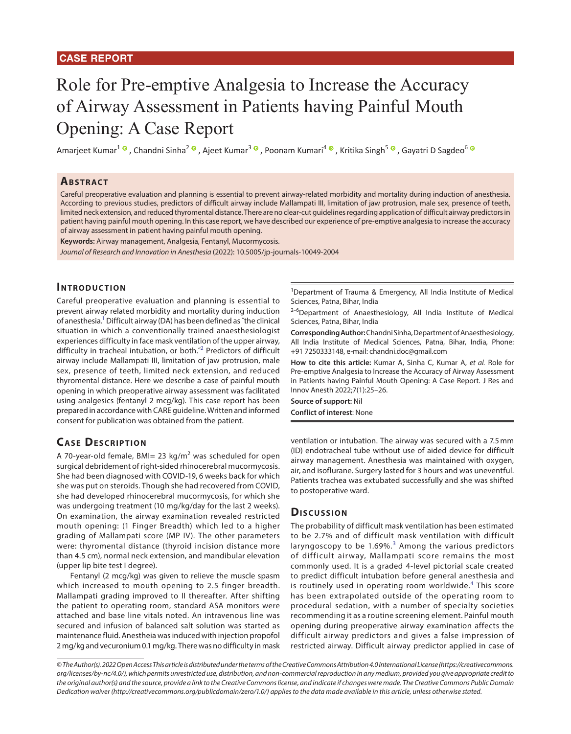# Role for Pre-emptive Analgesia to Increase the Accuracy of Airway Assessment in Patients having Painful Mouth Opening: A Case Report

AmarjeetKumar<sup>1</sup> ®, Chandni Sinha<sup>2</sup> ®, Ajeet Kumar<sup>3</sup> ®, Poonam Kumari<sup>4</sup> ®, Kritika Singh<sup>5</sup> ®, Gayatri D Sagdeo<sup>6 ®</sup>

## **ABSTRACT**

Careful preoperative evaluation and planning is essential to prevent airway-related morbidity and mortality during induction of anesthesia. According to previous studies, predictors of difficult airway include Mallampati III, limitation of jaw protrusion, male sex, presence of teeth, limited neck extension, and reduced thyromental distance. There are no clear-cut guidelines regarding application of difficult airway predictors in patient having painful mouth opening. In this case report, we have described our experience of pre-emptive analgesia to increase the accuracy of airway assessment in patient having painful mouth opening.

**Keywords:** Airway management, Analgesia, Fentanyl, Mucormycosis.

*Journal of Research and Innovation in Anesthesia* (2022): 10.5005/jp-journals-10049-2004

## **INTRODUCTION**

<span id="page-0-0"></span>Careful preoperative evaluation and planning is essential to prevent airway related morbidity and mortality during induction of anesthesia.<sup>1</sup> Difficult airway (DA) has been defined as "the clinical situation in which a conventionally trained anaesthesiologist experiences difficulty in face mask ventilation of the upper airway, difficulty in tracheal intubation, or both.<sup>"[2](#page-1-3)</sup> Predictors of difficult airway include Mallampati III, limitation of jaw protrusion, male sex, presence of teeth, limited neck extension, and reduced thyromental distance. Here we describe a case of painful mouth opening in which preoperative airway assessment was facilitated using analgesics (fentanyl 2 mcg/kg). This case report has been prepared in accordance with CARE guideline. Written and informed consent for publication was obtained from the patient.

## **CASE DESCRIPTION**

A 70-year-old female, BMI= 23 kg/m<sup>2</sup> was scheduled for open surgical debridement of right-sided rhinocerebral mucormycosis. She had been diagnosed with COVID-19, 6 weeks back for which she was put on steroids. Though she had recovered from COVID, she had developed rhinocerebral mucormycosis, for which she was undergoing treatment (10 mg/kg/day for the last 2 weeks). On examination, the airway examination revealed restricted mouth opening: (1 Finger Breadth) which led to a higher grading of Mallampati score (MP IV). The other parameters were: thyromental distance (thyroid incision distance more than 4.5 cm), normal neck extension, and mandibular elevation (upper lip bite test I degree).

Fentanyl (2 mcg/kg) was given to relieve the muscle spasm which increased to mouth opening to 2.5 finger breadth. Mallampati grading improved to II thereafter. After shifting the patient to operating room, standard ASA monitors were attached and base line vitals noted. An intravenous line was secured and infusion of balanced salt solution was started as maintenance fluid. Anestheia was induced with injection propofol 2 mg/kg and vecuronium 0.1 mg/kg. There was no difficulty in mask

1 Department of Trauma & Emergency, All India Institute of Medical Sciences, Patna, Bihar, India

<sup>2-6</sup>Department of Anaesthesiology, All India Institute of Medical Sciences, Patna, Bihar, India

**Corresponding Author:** Chandni Sinha, Department of Anaesthesiology, All India Institute of Medical Sciences, Patna, Bihar, India, Phone: +91 7250333148, e-mail: chandni.doc@gmail.com

<span id="page-0-1"></span>**How to cite this article:** Kumar A, Sinha C, Kumar A, *et al.* Role for Pre-emptive Analgesia to Increase the Accuracy of Airway Assessment in Patients having Painful Mouth Opening: A Case Report. J Res and Innov Anesth 2022;7(1):25–26.

**Source of support:** Nil **Conflict of interest**: None

ventilation or intubation. The airway was secured with a 7.5mm (ID) endotracheal tube without use of aided device for difficult airway management. Anesthesia was maintained with oxygen, air, and isoflurane. Surgery lasted for 3 hours and was uneventful. Patients trachea was extubated successfully and she was shifted to postoperative ward.

#### **Discussion**

<span id="page-0-3"></span><span id="page-0-2"></span>The probability of difficult mask ventilation has been estimated to be 2.7% and of difficult mask ventilation with difficult laryngoscopy to be  $1.69\%$ .<sup>[3](#page-1-0)</sup> Among the various predictors of difficult airway, Mallampati score remains the most commonly used. It is a graded 4-level pictorial scale created to predict difficult intubation before general anesthesia and is routinely used in operating room worldwide.<sup>[4](#page-1-1)</sup> This score has been extrapolated outside of the operating room to procedural sedation, with a number of specialty societies recommending it as a routine screening element. Painful mouth opening during preoperative airway examination affects the difficult airway predictors and gives a false impression of restricted airway. Difficult airway predictor applied in case of

*© The Author(s). 2022 Open Access This article is distributed under the terms of the Creative Commons Attribution 4.0 International License (https://creativecommons. org/licenses/by-nc/4.0/), which permits unrestricted use, distribution, and non-commercial reproduction in any medium, provided you give appropriate credit to the original author(s) and the source, provide a link to the Creative Commons license, and indicate if changes were made. The Creative Commons Public Domain Dedication waiver (http://creativecommons.org/publicdomain/zero/1.0/) applies to the data made available in this article, unless otherwise stated.*